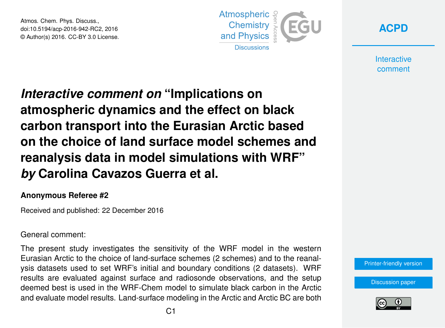Atmos. Chem. Phys. Discuss., doi:10.5194/acp-2016-942-RC2, 2016 © Author(s) 2016. CC-BY 3.0 License.



**[ACPD](http://www.atmos-chem-phys-discuss.net/)**

**Interactive** comment

# *Interactive comment on* **"Implications on atmospheric dynamics and the effect on black carbon transport into the Eurasian Arctic based on the choice of land surface model schemes and reanalysis data in model simulations with WRF"** *by* **Carolina Cavazos Guerra et al.**

#### **Anonymous Referee #2**

Received and published: 22 December 2016

#### General comment:

The present study investigates the sensitivity of the WRF model in the western Eurasian Arctic to the choice of land-surface schemes (2 schemes) and to the reanalysis datasets used to set WRF's initial and boundary conditions (2 datasets). WRF results are evaluated against surface and radiosonde observations, and the setup deemed best is used in the WRF-Chem model to simulate black carbon in the Arctic and evaluate model results. Land-surface modeling in the Arctic and Arctic BC are both

[Printer-friendly version](http://www.atmos-chem-phys-discuss.net/acp-2016-942/acp-2016-942-RC2-print.pdf)

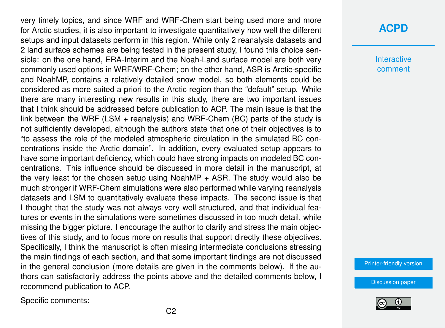very timely topics, and since WRF and WRF-Chem start being used more and more for Arctic studies, it is also important to investigate quantitatively how well the different setups and input datasets perform in this region. While only 2 reanalysis datasets and 2 land surface schemes are being tested in the present study, I found this choice sensible: on the one hand, ERA-Interim and the Noah-Land surface model are both very commonly used options in WRF/WRF-Chem; on the other hand, ASR is Arctic-specific and NoahMP, contains a relatively detailed snow model, so both elements could be considered as more suited a priori to the Arctic region than the "default" setup. While there are many interesting new results in this study, there are two important issues that I think should be addressed before publication to ACP. The main issue is that the link between the WRF (LSM + reanalysis) and WRF-Chem (BC) parts of the study is not sufficiently developed, although the authors state that one of their objectives is to "to assess the role of the modeled atmospheric circulation in the simulated BC concentrations inside the Arctic domain". In addition, every evaluated setup appears to have some important deficiency, which could have strong impacts on modeled BC concentrations. This influence should be discussed in more detail in the manuscript, at the very least for the chosen setup using  $NoahMP + ASR$ . The study would also be much stronger if WRF-Chem simulations were also performed while varying reanalysis datasets and LSM to quantitatively evaluate these impacts. The second issue is that I thought that the study was not always very well structured, and that individual features or events in the simulations were sometimes discussed in too much detail, while missing the bigger picture. I encourage the author to clarify and stress the main objectives of this study, and to focus more on results that support directly these objectives. Specifically, I think the manuscript is often missing intermediate conclusions stressing the main findings of each section, and that some important findings are not discussed in the general conclusion (more details are given in the comments below). If the authors can satisfactorily address the points above and the detailed comments below, I recommend publication to ACP.

Specific comments:

## **[ACPD](http://www.atmos-chem-phys-discuss.net/)**

**Interactive** comment

[Printer-friendly version](http://www.atmos-chem-phys-discuss.net/acp-2016-942/acp-2016-942-RC2-print.pdf)

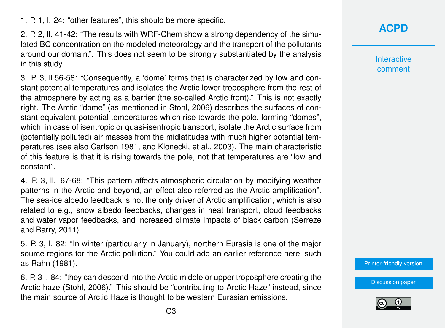1. P. 1, l. 24: "other features", this should be more specific.

2. P. 2, ll. 41-42: "The results with WRF-Chem show a strong dependency of the simulated BC concentration on the modeled meteorology and the transport of the pollutants around our domain.". This does not seem to be strongly substantiated by the analysis in this study.

3. P. 3, ll.56-58: "Consequently, a 'dome' forms that is characterized by low and constant potential temperatures and isolates the Arctic lower troposphere from the rest of the atmosphere by acting as a barrier (the so-called Arctic front)." This is not exactly right. The Arctic "dome" (as mentioned in Stohl, 2006) describes the surfaces of constant equivalent potential temperatures which rise towards the pole, forming "domes", which, in case of isentropic or quasi-isentropic transport, isolate the Arctic surface from (potentially polluted) air masses from the midlatitudes with much higher potential temperatures (see also Carlson 1981, and Klonecki, et al., 2003). The main characteristic of this feature is that it is rising towards the pole, not that temperatures are "low and constant".

4. P. 3, ll. 67-68: "This pattern affects atmospheric circulation by modifying weather patterns in the Arctic and beyond, an effect also referred as the Arctic amplification". The sea-ice albedo feedback is not the only driver of Arctic amplification, which is also related to e.g., snow albedo feedbacks, changes in heat transport, cloud feedbacks and water vapor feedbacks, and increased climate impacts of black carbon (Serreze and Barry, 2011).

5. P. 3, l. 82: "In winter (particularly in January), northern Eurasia is one of the major source regions for the Arctic pollution." You could add an earlier reference here, such as Rahn (1981).

6. P. 3 l. 84: "they can descend into the Arctic middle or upper troposphere creating the Arctic haze (Stohl, 2006)." This should be "contributing to Arctic Haze" instead, since the main source of Arctic Haze is thought to be western Eurasian emissions.

**[ACPD](http://www.atmos-chem-phys-discuss.net/)**

**Interactive** comment

[Printer-friendly version](http://www.atmos-chem-phys-discuss.net/acp-2016-942/acp-2016-942-RC2-print.pdf)

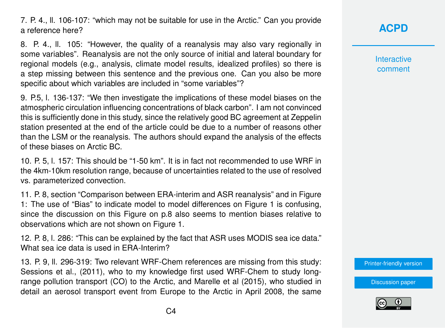7. P. 4., ll. 106-107: "which may not be suitable for use in the Arctic." Can you provide a reference here?

8. P. 4., ll. 105: "However, the quality of a reanalysis may also vary regionally in some variables". Reanalysis are not the only source of initial and lateral boundary for regional models (e.g., analysis, climate model results, idealized profiles) so there is a step missing between this sentence and the previous one. Can you also be more specific about which variables are included in "some variables"?

9. P.5, l. 136-137: "We then investigate the implications of these model biases on the atmospheric circulation influencing concentrations of black carbon". I am not convinced this is sufficiently done in this study, since the relatively good BC agreement at Zeppelin station presented at the end of the article could be due to a number of reasons other than the LSM or the reanalysis. The authors should expand the analysis of the effects of these biases on Arctic BC.

10. P. 5, l. 157: This should be "1-50 km". It is in fact not recommended to use WRF in the 4km-10km resolution range, because of uncertainties related to the use of resolved vs. parameterized convection.

11. P. 8, section "Comparison between ERA-interim and ASR reanalysis" and in Figure 1: The use of "Bias" to indicate model to model differences on Figure 1 is confusing, since the discussion on this Figure on p.8 also seems to mention biases relative to observations which are not shown on Figure 1.

12. P. 8, l. 286: "This can be explained by the fact that ASR uses MODIS sea ice data." What sea ice data is used in ERA-Interim?

13. P. 9, ll. 296-319: Two relevant WRF-Chem references are missing from this study: Sessions et al., (2011), who to my knowledge first used WRF-Chem to study longrange pollution transport (CO) to the Arctic, and Marelle et al (2015), who studied in detail an aerosol transport event from Europe to the Arctic in April 2008, the same **[ACPD](http://www.atmos-chem-phys-discuss.net/)**

**Interactive** comment

[Printer-friendly version](http://www.atmos-chem-phys-discuss.net/acp-2016-942/acp-2016-942-RC2-print.pdf)

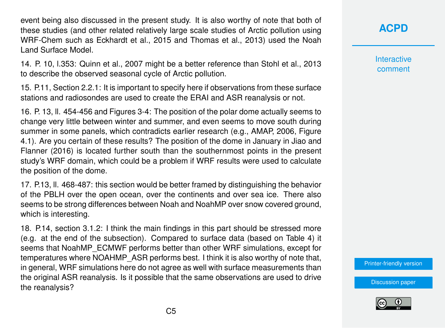event being also discussed in the present study. It is also worthy of note that both of these studies (and other related relatively large scale studies of Arctic pollution using WRF-Chem such as Eckhardt et al., 2015 and Thomas et al., 2013) used the Noah Land Surface Model.

14. P. 10, l.353: Quinn et al., 2007 might be a better reference than Stohl et al., 2013 to describe the observed seasonal cycle of Arctic pollution.

15. P.11, Section 2.2.1: It is important to specify here if observations from these surface stations and radiosondes are used to create the ERAI and ASR reanalysis or not.

16. P. 13, ll. 454-456 and Figures 3-4: The position of the polar dome actually seems to change very little between winter and summer, and even seems to move south during summer in some panels, which contradicts earlier research (e.g., AMAP, 2006, Figure 4.1). Are you certain of these results? The position of the dome in January in Jiao and Flanner (2016) is located further south than the southernmost points in the present study's WRF domain, which could be a problem if WRF results were used to calculate the position of the dome.

17. P.13, ll. 468-487: this section would be better framed by distinguishing the behavior of the PBLH over the open ocean, over the continents and over sea ice. There also seems to be strong differences between Noah and NoahMP over snow covered ground, which is interesting.

18. P.14, section 3.1.2: I think the main findings in this part should be stressed more (e.g. at the end of the subsection). Compared to surface data (based on Table 4) it seems that NoahMP\_ECMWF performs better than other WRF simulations, except for temperatures where NOAHMP\_ASR performs best. I think it is also worthy of note that, in general, WRF simulations here do not agree as well with surface measurements than the original ASR reanalysis. Is it possible that the same observations are used to drive the reanalysis?

**[ACPD](http://www.atmos-chem-phys-discuss.net/)**

**Interactive** comment

[Printer-friendly version](http://www.atmos-chem-phys-discuss.net/acp-2016-942/acp-2016-942-RC2-print.pdf)

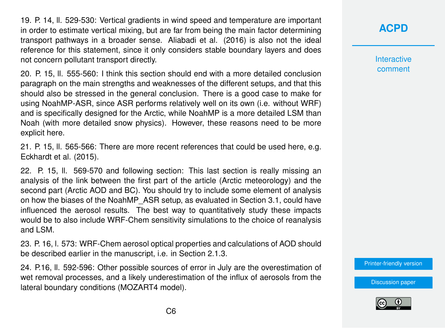19. P. 14, ll. 529-530: Vertical gradients in wind speed and temperature are important in order to estimate vertical mixing, but are far from being the main factor determining transport pathways in a broader sense. Aliabadi et al. (2016) is also not the ideal reference for this statement, since it only considers stable boundary layers and does not concern pollutant transport directly.

20. P. 15, ll. 555-560: I think this section should end with a more detailed conclusion paragraph on the main strengths and weaknesses of the different setups, and that this should also be stressed in the general conclusion. There is a good case to make for using NoahMP-ASR, since ASR performs relatively well on its own (i.e. without WRF) and is specifically designed for the Arctic, while NoahMP is a more detailed LSM than Noah (with more detailed snow physics). However, these reasons need to be more explicit here.

21. P. 15, ll. 565-566: There are more recent references that could be used here, e.g. Eckhardt et al. (2015).

22. P. 15, ll. 569-570 and following section: This last section is really missing an analysis of the link between the first part of the article (Arctic meteorology) and the second part (Arctic AOD and BC). You should try to include some element of analysis on how the biases of the NoahMP\_ASR setup, as evaluated in Section 3.1, could have influenced the aerosol results. The best way to quantitatively study these impacts would be to also include WRF-Chem sensitivity simulations to the choice of reanalysis and LSM.

23. P. 16, l. 573: WRF-Chem aerosol optical properties and calculations of AOD should be described earlier in the manuscript, i.e. in Section 2.1.3.

24. P.16, ll. 592-596: Other possible sources of error in July are the overestimation of wet removal processes, and a likely underestimation of the influx of aerosols from the lateral boundary conditions (MOZART4 model).

## **[ACPD](http://www.atmos-chem-phys-discuss.net/)**

**Interactive** comment

[Printer-friendly version](http://www.atmos-chem-phys-discuss.net/acp-2016-942/acp-2016-942-RC2-print.pdf)

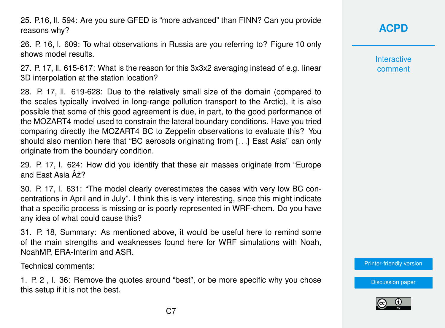25. P.16, ll. 594: Are you sure GFED is "more advanced" than FINN? Can you provide reasons why?

26. P. 16, l. 609: To what observations in Russia are you referring to? Figure 10 only shows model results.

27. P. 17, ll. 615-617: What is the reason for this 3x3x2 averaging instead of e.g. linear 3D interpolation at the station location?

28. P. 17, ll. 619-628: Due to the relatively small size of the domain (compared to the scales typically involved in long-range pollution transport to the Arctic), it is also possible that some of this good agreement is due, in part, to the good performance of the MOZART4 model used to constrain the lateral boundary conditions. Have you tried comparing directly the MOZART4 BC to Zeppelin observations to evaluate this? You should also mention here that "BC aerosols originating from [. . .] East Asia" can only originate from the boundary condition.

29. P. 17, l. 624: How did you identify that these air masses originate from "Europe and East Asia  $A\overline{2}$ ?

30. P. 17, l. 631: "The model clearly overestimates the cases with very low BC concentrations in April and in July". I think this is very interesting, since this might indicate that a specific process is missing or is poorly represented in WRF-chem. Do you have any idea of what could cause this?

31. P. 18, Summary: As mentioned above, it would be useful here to remind some of the main strengths and weaknesses found here for WRF simulations with Noah, NoahMP, ERA-Interim and ASR.

Technical comments:

1. P. 2 , l. 36: Remove the quotes around "best", or be more specific why you chose this setup if it is not the best.

**[ACPD](http://www.atmos-chem-phys-discuss.net/)**

**Interactive** comment

[Printer-friendly version](http://www.atmos-chem-phys-discuss.net/acp-2016-942/acp-2016-942-RC2-print.pdf)

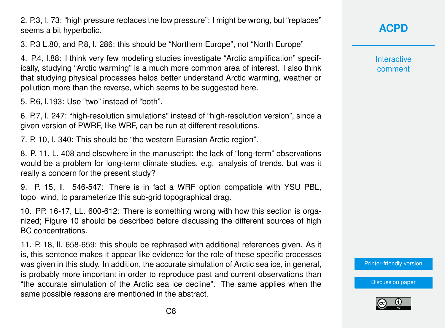2. P.3, l. 73: "high pressure replaces the low pressure": I might be wrong, but "replaces" seems a bit hyperbolic.

3. P.3 L.80, and P.8, l. 286: this should be "Northern Europe", not "North Europe"

4. P.4, l.88: I think very few modeling studies investigate "Arctic amplification" specifically, studying "Arctic warming" is a much more common area of interest. I also think that studying physical processes helps better understand Arctic warming, weather or pollution more than the reverse, which seems to be suggested here.

5. P.6, l.193: Use "two" instead of "both".

6. P.7, l. 247: "high-resolution simulations" instead of "high-resolution version", since a given version of PWRF, like WRF, can be run at different resolutions.

7. P. 10, l. 340: This should be "the western Eurasian Arctic region".

8. P. 11, L. 408 and elsewhere in the manuscript: the lack of "long-term" observations would be a problem for long-term climate studies, e.g. analysis of trends, but was it really a concern for the present study?

9. P. 15, ll. 546-547: There is in fact a WRF option compatible with YSU PBL, topo\_wind, to parameterize this sub-grid topographical drag.

10. PP. 16-17, LL. 600-612: There is something wrong with how this section is organized; Figure 10 should be described before discussing the different sources of high BC concentrations.

11. P. 18, ll. 658-659: this should be rephrased with additional references given. As it is, this sentence makes it appear like evidence for the role of these specific processes was given in this study. In addition, the accurate simulation of Arctic sea ice, in general, is probably more important in order to reproduce past and current observations than "the accurate simulation of the Arctic sea ice decline". The same applies when the same possible reasons are mentioned in the abstract.

**[ACPD](http://www.atmos-chem-phys-discuss.net/)**

**Interactive** comment

[Printer-friendly version](http://www.atmos-chem-phys-discuss.net/acp-2016-942/acp-2016-942-RC2-print.pdf)

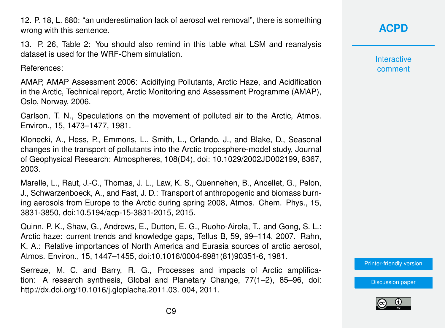12. P. 18, L. 680: "an underestimation lack of aerosol wet removal", there is something wrong with this sentence.

13. P. 26, Table 2: You should also remind in this table what LSM and reanalysis dataset is used for the WRF-Chem simulation.

References:

AMAP, AMAP Assessment 2006: Acidifying Pollutants, Arctic Haze, and Acidification in the Arctic, Technical report, Arctic Monitoring and Assessment Programme (AMAP), Oslo, Norway, 2006.

Carlson, T. N., Speculations on the movement of polluted air to the Arctic, Atmos. Environ., 15, 1473–1477, 1981.

Klonecki, A., Hess, P., Emmons, L., Smith, L., Orlando, J., and Blake, D., Seasonal changes in the transport of pollutants into the Arctic troposphere-model study, Journal of Geophysical Research: Atmospheres, 108(D4), doi: 10.1029/2002JD002199, 8367, 2003.

Marelle, L., Raut, J.-C., Thomas, J. L., Law, K. S., Quennehen, B., Ancellet, G., Pelon, J., Schwarzenboeck, A., and Fast, J. D.: Transport of anthropogenic and biomass burning aerosols from Europe to the Arctic during spring 2008, Atmos. Chem. Phys., 15, 3831-3850, doi:10.5194/acp-15-3831-2015, 2015.

Quinn, P. K., Shaw, G., Andrews, E., Dutton, E. G., Ruoho-Airola, T., and Gong, S. L.: Arctic haze: current trends and knowledge gaps, Tellus B, 59, 99–114, 2007. Rahn, K. A.: Relative importances of North America and Eurasia sources of arctic aerosol, Atmos. Environ., 15, 1447–1455, doi:10.1016/0004-6981(81)90351-6, 1981.

Serreze, M. C. and Barry, R. G., Processes and impacts of Arctic amplification: A research synthesis, Global and Planetary Change, 77(1–2), 85–96, doi: http://dx.doi.org/10.1016/j.gloplacha.2011.03. 004, 2011.

**Interactive** comment

[Printer-friendly version](http://www.atmos-chem-phys-discuss.net/acp-2016-942/acp-2016-942-RC2-print.pdf)